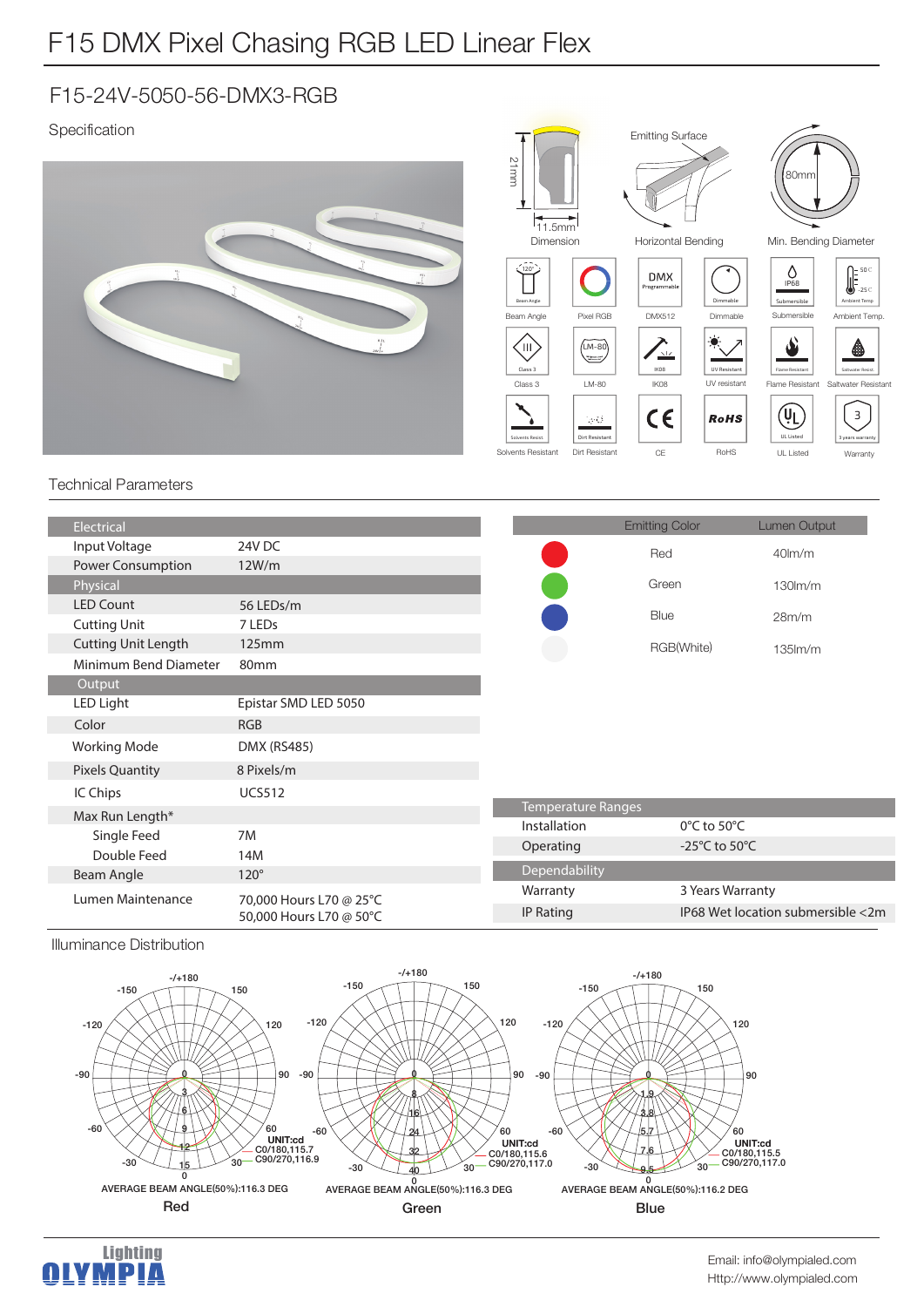# F15 DMX Pixel Chasing RGB LED Linear Flex

### F15-24V-5050-56-DMX3-RGB

### Specification



#### Technical Parameters

| Electrical                 |                                                    |                    | <b>Emitting Color</b>               | Lumen Output                      |
|----------------------------|----------------------------------------------------|--------------------|-------------------------------------|-----------------------------------|
| Input Voltage              | 24V DC                                             |                    | Red                                 | $40$ lm/m                         |
| Power Consumption          | 12W/m                                              |                    |                                     |                                   |
| Physical                   |                                                    |                    | Green                               | $130$ m/m                         |
| <b>LED Count</b>           | 56 LEDs/m                                          |                    | Blue                                | 28m/m                             |
| <b>Cutting Unit</b>        | 7 LED <sub>s</sub>                                 |                    |                                     |                                   |
| <b>Cutting Unit Length</b> | 125mm                                              |                    | RGB(White)                          | $135$ $\text{Im/m}$               |
| Minimum Bend Diameter      | 80 <sub>mm</sub>                                   |                    |                                     |                                   |
| Output                     |                                                    |                    |                                     |                                   |
| LED Light                  | Epistar SMD LED 5050                               |                    |                                     |                                   |
| Color                      | <b>RGB</b>                                         |                    |                                     |                                   |
| <b>Working Mode</b>        | <b>DMX (RS485)</b>                                 |                    |                                     |                                   |
| <b>Pixels Quantity</b>     | 8 Pixels/m                                         |                    |                                     |                                   |
| IC Chips                   | <b>UCS512</b>                                      |                    |                                     |                                   |
| Max Run Length*            |                                                    | Temperature Ranges |                                     |                                   |
| Single Feed                | 7M                                                 | Installation       | 0°C to 50°C                         |                                   |
| Double Feed                | 14M                                                | Operating          | -25 $^{\circ}$ C to 50 $^{\circ}$ C |                                   |
| Beam Angle                 | $120^\circ$                                        | Dependability      |                                     |                                   |
| Lumen Maintenance          | 70,000 Hours L70 @ 25°C<br>50,000 Hours L70 @ 50°C | Warranty           | 3 Years Warranty                    |                                   |
|                            |                                                    | IP Rating          |                                     | IP68 Wet location submersible <2m |
|                            |                                                    |                    |                                     |                                   |

Illuminance Distribution